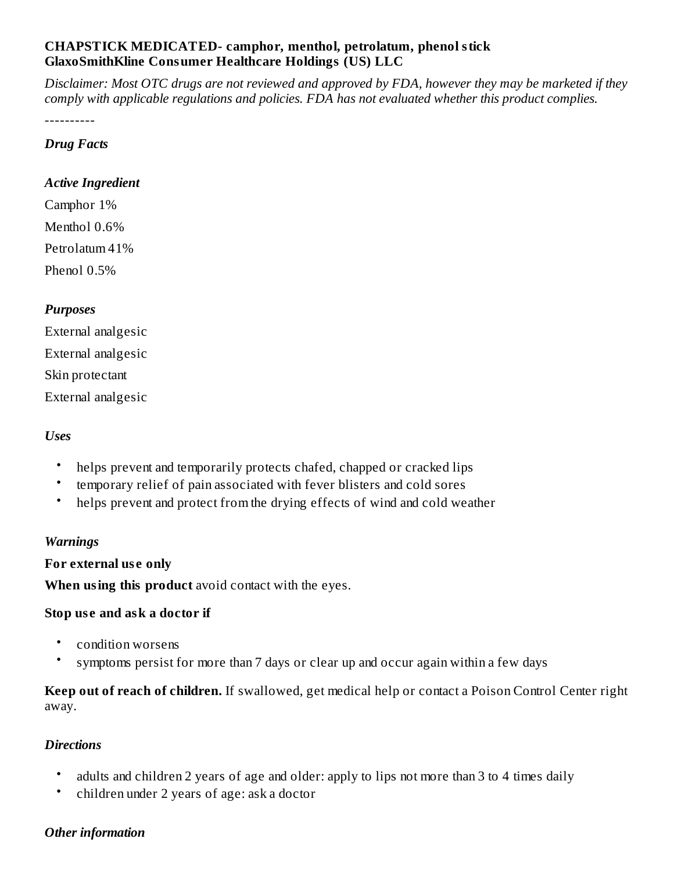# **CHAPSTICK MEDICATED- camphor, menthol, petrolatum, phenol stick GlaxoSmithKline Consumer Healthcare Holdings (US) LLC**

Disclaimer: Most OTC drugs are not reviewed and approved by FDA, however they may be marketed if they *comply with applicable regulations and policies. FDA has not evaluated whether this product complies.*

----------

#### *Drug Facts*

## *Active Ingredient*

Camphor 1% Menthol 0.6% Petrolatum 41% Phenol 0.5%

## *Purposes*

External analgesic External analgesic Skin protectant External analgesic

## *Uses*

- helps prevent and temporarily protects chafed, chapped or cracked lips
- temporary relief of pain associated with fever blisters and cold sores
- helps prevent and protect from the drying effects of wind and cold weather

#### *Warnings*

**For external us e only**

**When using this product** avoid contact with the eyes.

## **Stop us e and ask a doctor if**

- condition worsens
- symptoms persist for more than 7 days or clear up and occur again within a few days

**Keep out of reach of children.** If swallowed, get medical help or contact a Poison Control Center right away.

#### *Directions*

- adults and children 2 years of age and older: apply to lips not more than 3 to 4 times daily
- children under 2 years of age: ask a doctor

# *Other information*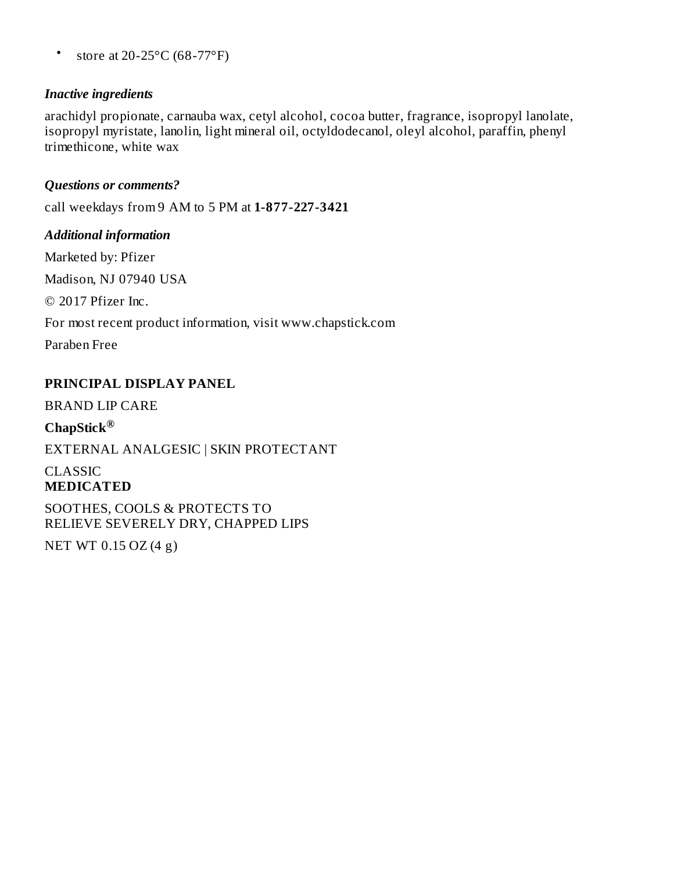• store at 20-25°C (68-77°F)

#### *Inactive ingredients*

arachidyl propionate, carnauba wax, cetyl alcohol, cocoa butter, fragrance, isopropyl lanolate, isopropyl myristate, lanolin, light mineral oil, octyldodecanol, oleyl alcohol, paraffin, phenyl trimethicone, white wax

## *Questions or comments?*

call weekdays from 9 AM to 5 PM at **1-877-227-3421**

## *Additional information*

Marketed by: Pfizer

Madison, NJ 07940 USA

© 2017 Pfizer Inc.

For most recent product information, visit www.chapstick.com

Paraben Free

## **PRINCIPAL DISPLAY PANEL**

BRAND LIP CARE

**ChapStick ®**

EXTERNAL ANALGESIC | SKIN PROTECTANT

CLASSIC **MEDICATED**

SOOTHES, COOLS & PROTECTS TO RELIEVE SEVERELY DRY, CHAPPED LIPS

NET WT 0.15 OZ (4 g)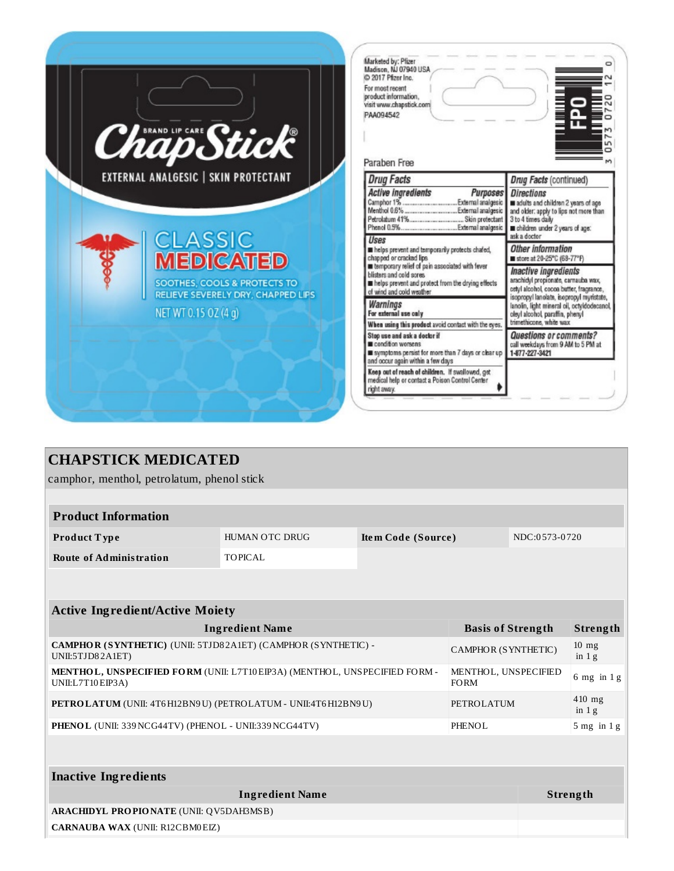

# **CHAPSTICK MEDICATED**

camphor, menthol, petrolatum, phenol stick

| <b>Product Information</b> |                |                    |               |  |  |  |
|----------------------------|----------------|--------------------|---------------|--|--|--|
| Product Type               | HUMAN OTC DRUG | Item Code (Source) | NDC:0573-0720 |  |  |  |
| Route of Administration    | TOPICAL        |                    |               |  |  |  |

| <b>Active Ingredient/Active Moiety</b>                                                               |                                     |                            |  |  |  |
|------------------------------------------------------------------------------------------------------|-------------------------------------|----------------------------|--|--|--|
| <b>Ingredient Name</b>                                                                               | <b>Basis of Strength</b>            | Strength                   |  |  |  |
| <b>CAMPHOR (SYNTHETIC) (UNII: 5TJD82A1ET) (CAMPHOR (SYNTHETIC) -</b><br>UNII:5TJD82A1ET)             | CAMPHOR (SYNTHETIC)                 | $10 \text{ mg}$<br>in $1g$ |  |  |  |
| <b>MENTHOL, UNSPECIFIED FORM (UNII: L7T10EIP3A) (MENTHOL, UNSPECIFIED FORM -</b><br>UNII:L7T10EIP3A) | MENTHOL, UNSPECIFIED<br><b>FORM</b> | 6 mg in $1g$               |  |  |  |
| <b>PETROLATUM</b> (UNII: 4T6 H12BN9 U) (PETROLATUM - UNII:4T6 H12BN9 U)                              | PETROLATUM                          | $410$ mg<br>in $1g$        |  |  |  |
| PHENOL (UNII: 339 NCG44TV) (PHENOL - UNII:339 NCG44TV)                                               | PHENOL                              | $5$ mg in $1$ g            |  |  |  |
|                                                                                                      |                                     |                            |  |  |  |

| Inactive Ingredients                           |          |  |  |  |
|------------------------------------------------|----------|--|--|--|
| <b>Ingredient Name</b>                         | Strength |  |  |  |
| <b>ARACHIDYL PROPIONATE (UNII: QV5DAH3MSB)</b> |          |  |  |  |
| CARNAUBA WAX (UNII: R12CBM0 EIZ)               |          |  |  |  |